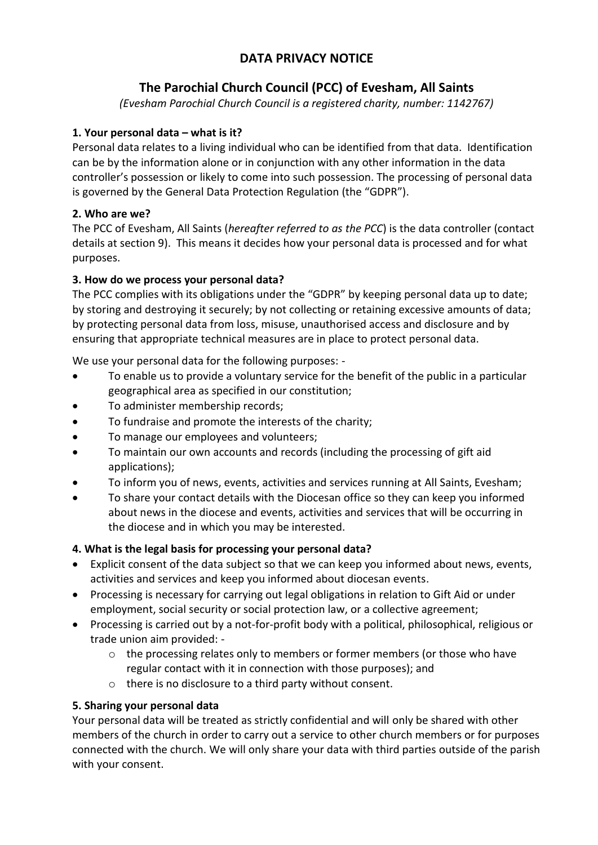# **DATA PRIVACY NOTICE**

# **The Parochial Church Council (PCC) of Evesham, All Saints**

*(Evesham Parochial Church Council is a registered charity, number: 1142767)*

## **1. Your personal data – what is it?**

Personal data relates to a living individual who can be identified from that data. Identification can be by the information alone or in conjunction with any other information in the data controller's possession or likely to come into such possession. The processing of personal data is governed by the General Data Protection Regulation (the "GDPR").

## **2. Who are we?**

The PCC of Evesham, All Saints (*hereafter referred to as the PCC*) is the data controller (contact details at section 9). This means it decides how your personal data is processed and for what purposes.

## **3. How do we process your personal data?**

The PCC complies with its obligations under the "GDPR" by keeping personal data up to date; by storing and destroying it securely; by not collecting or retaining excessive amounts of data; by protecting personal data from loss, misuse, unauthorised access and disclosure and by ensuring that appropriate technical measures are in place to protect personal data.

We use your personal data for the following purposes: -

- To enable us to provide a voluntary service for the benefit of the public in a particular geographical area as specified in our constitution;
- To administer membership records;
- To fundraise and promote the interests of the charity;
- To manage our employees and volunteers;
- To maintain our own accounts and records (including the processing of gift aid applications);
- To inform you of news, events, activities and services running at All Saints, Evesham;
- To share your contact details with the Diocesan office so they can keep you informed about news in the diocese and events, activities and services that will be occurring in the diocese and in which you may be interested.

## **4. What is the legal basis for processing your personal data?**

- Explicit consent of the data subject so that we can keep you informed about news, events, activities and services and keep you informed about diocesan events.
- Processing is necessary for carrying out legal obligations in relation to Gift Aid or under employment, social security or social protection law, or a collective agreement;
- Processing is carried out by a not-for-profit body with a political, philosophical, religious or trade union aim provided:
	- o the processing relates only to members or former members (or those who have regular contact with it in connection with those purposes); and
	- o there is no disclosure to a third party without consent.

## **5. Sharing your personal data**

Your personal data will be treated as strictly confidential and will only be shared with other members of the church in order to carry out a service to other church members or for purposes connected with the church. We will only share your data with third parties outside of the parish with your consent.